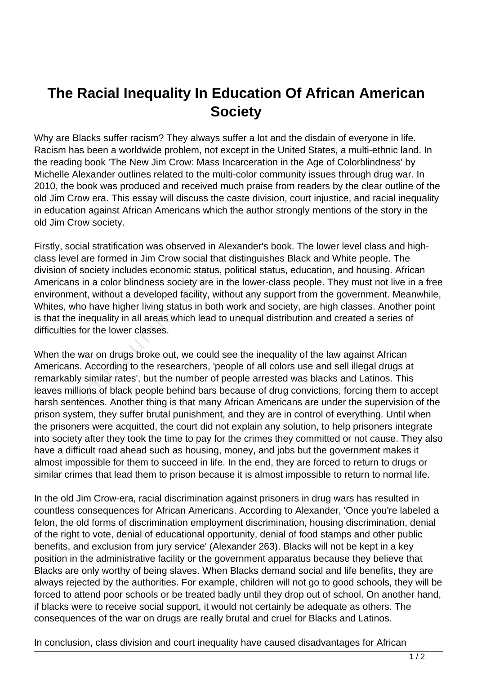## **The Racial Inequality In Education Of African American Society**

Why are Blacks suffer racism? They always suffer a lot and the disdain of everyone in life. Racism has been a worldwide problem, not except in the United States, a multi-ethnic land. In the reading book 'The New Jim Crow: Mass Incarceration in the Age of Colorblindness' by Michelle Alexander outlines related to the multi-color community issues through drug war. In 2010, the book was produced and received much praise from readers by the clear outline of the old Jim Crow era. This essay will discuss the caste division, court injustice, and racial inequality in education against African Americans which the author strongly mentions of the story in the old Jim Crow society.

Firstly, social stratification was observed in Alexander's book. The lower level class and highclass level are formed in Jim Crow social that distinguishes Black and White people. The division of society includes economic status, political status, education, and housing. African Americans in a color blindness society are in the lower-class people. They must not live in a free environment, without a developed facility, without any support from the government. Meanwhile, Whites, who have higher living status in both work and society, are high classes. Another point is that the inequality in all areas which lead to unequal distribution and created a series of difficulties for the lower classes. society includes economic status,<br>i in a color blindness society are in<br>nt, without a developed facility, wi<br>no have higher living status in both<br>inequality in all areas which lead t<br>for the lower classes.<br>war on drugs bro

When the war on drugs broke out, we could see the inequality of the law against African Americans. According to the researchers, 'people of all colors use and sell illegal drugs at remarkably similar rates', but the number of people arrested was blacks and Latinos. This leaves millions of black people behind bars because of drug convictions, forcing them to accept harsh sentences. Another thing is that many African Americans are under the supervision of the prison system, they suffer brutal punishment, and they are in control of everything. Until when the prisoners were acquitted, the court did not explain any solution, to help prisoners integrate into society after they took the time to pay for the crimes they committed or not cause. They also have a difficult road ahead such as housing, money, and jobs but the government makes it almost impossible for them to succeed in life. In the end, they are forced to return to drugs or similar crimes that lead them to prison because it is almost impossible to return to normal life.

In the old Jim Crow-era, racial discrimination against prisoners in drug wars has resulted in countless consequences for African Americans. According to Alexander, 'Once you're labeled a felon, the old forms of discrimination employment discrimination, housing discrimination, denial of the right to vote, denial of educational opportunity, denial of food stamps and other public benefits, and exclusion from jury service' (Alexander 263). Blacks will not be kept in a key position in the administrative facility or the government apparatus because they believe that Blacks are only worthy of being slaves. When Blacks demand social and life benefits, they are always rejected by the authorities. For example, children will not go to good schools, they will be forced to attend poor schools or be treated badly until they drop out of school. On another hand, if blacks were to receive social support, it would not certainly be adequate as others. The consequences of the war on drugs are really brutal and cruel for Blacks and Latinos.

In conclusion, class division and court inequality have caused disadvantages for African